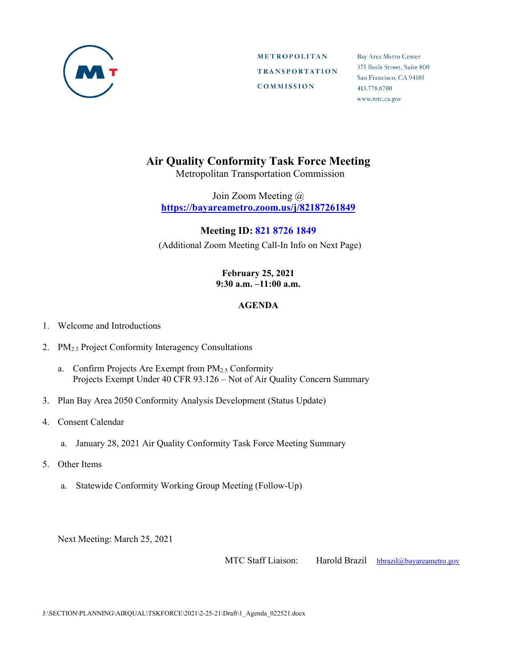

**METROPOLITAN TRANSPORTATION COMMISSION** 

Bay Area Metro Center 375 Beale Street, Suite 800 San Francisco, CA 94105 415.778.6700 www.mtc.ca.gov

## **Air Quality Conformity Task Force Meeting**

Metropolitan Transportation Commission

Join Zoom Meeting @ **https://bayareametro.zoom.us/j/82187261849**

## **Meeting ID: 821 8726 1849**

(Additional Zoom Meeting Call-In Info on Next Page)

## **February 25, 2021 9:30 a.m. –11:00 a.m.**

## **AGENDA**

- 1. Welcome and Introductions
- 2. PM<sub>2.5</sub> Project Conformity Interagency Consultations
	- a. Confirm Projects Are Exempt from PM2.5 Conformity Projects Exempt Under 40 CFR 93.126 – Not of Air Quality Concern Summary
- 3. Plan Bay Area 2050 Conformity Analysis Development (Status Update)
- 4. Consent Calendar
	- a. January 28, 2021 Air Quality Conformity Task Force Meeting Summary
- 5. Other Items
	- a. Statewide Conformity Working Group Meeting (Follow-Up)

Next Meeting: March 25, 2021

MTC Staff Liaison: Harold Brazil [hbrazil@bayareametro.gov](mailto:hbrazil@bayareametro.gov)